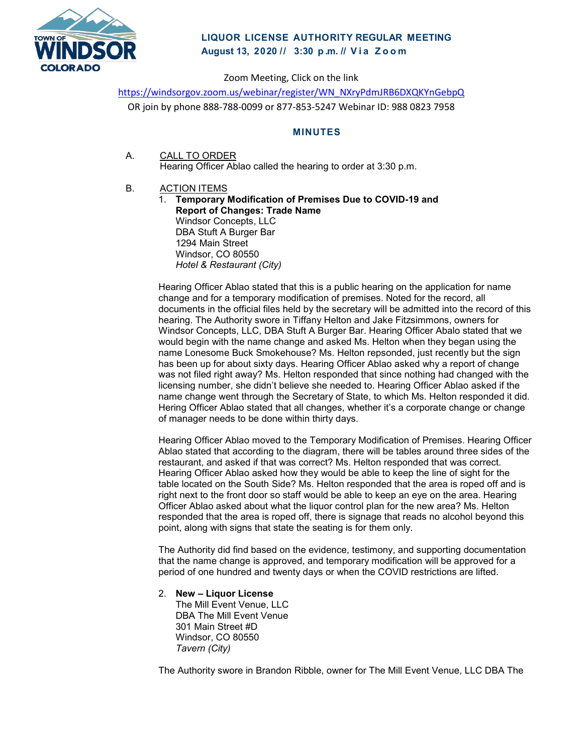

# **LIQUOR LICENSE AUTHORITY REGULAR MEETING August 13, 2020 // 3:30 p . m. // Via Zoom**

Zoom Meeting, Click on the link

[https://windsorgov.zoom.us/webinar/register/WN\\_NXryPdmJRB6DXQKYnGebpQ](https://windsorgov.zoom.us/webinar/register/WN_NXryPdmJRB6DXQKYnGebpQ) OR join by phone 888-788-0099 or 877-853-5247 Webinar ID: 988 0823 7958

## **MINUTES**

- A. CALL TO ORDER Hearing Officer Ablao called the hearing to order at 3:30 p.m.
- B. ACTION ITEMS
	- 1. **Temporary Modification of Premises Due to COVID-19 and Report of Changes: Trade Name**  Windsor Concepts, LLC DBA Stuft A Burger Bar 1294 Main Street Windsor, CO 80550 *Hotel & Restaurant (City)*

Hearing Officer Ablao stated that this is a public hearing on the application for name change and for a temporary modification of premises. Noted for the record, all documents in the official files held by the secretary will be admitted into the record of this hearing. The Authority swore in Tiffany Helton and Jake Fitzsimmons, owners for Windsor Concepts, LLC, DBA Stuft A Burger Bar. Hearing Officer Abalo stated that we would begin with the name change and asked Ms. Helton when they began using the name Lonesome Buck Smokehouse? Ms. Helton repsonded, just recently but the sign has been up for about sixty days. Hearing Officer Ablao asked why a report of change was not filed right away? Ms. Helton responded that since nothing had changed with the licensing number, she didn't believe she needed to. Hearing Officer Ablao asked if the name change went through the Secretary of State, to which Ms. Helton responded it did. Hering Officer Ablao stated that all changes, whether it's a corporate change or change of manager needs to be done within thirty days.

Hearing Officer Ablao moved to the Temporary Modification of Premises. Hearing Officer Ablao stated that according to the diagram, there will be tables around three sides of the restaurant, and asked if that was correct? Ms. Helton responded that was correct. Hearing Officer Ablao asked how they would be able to keep the line of sight for the table located on the South Side? Ms. Helton responded that the area is roped off and is right next to the front door so staff would be able to keep an eye on the area. Hearing Officer Ablao asked about what the liquor control plan for the new area? Ms. Helton responded that the area is roped off, there is signage that reads no alcohol beyond this point, along with signs that state the seating is for them only.

The Authority did find based on the evidence, testimony, and supporting documentation that the name change is approved, and temporary modification will be approved for a period of one hundred and twenty days or when the COVID restrictions are lifted.

## 2. **New – Liquor License**

The Mill Event Venue, LLC DBA The Mill Event Venue 301 Main Street #D Windsor, CO 80550 *Tavern (City)*

The Authority swore in Brandon Ribble, owner for The Mill Event Venue, LLC DBA The